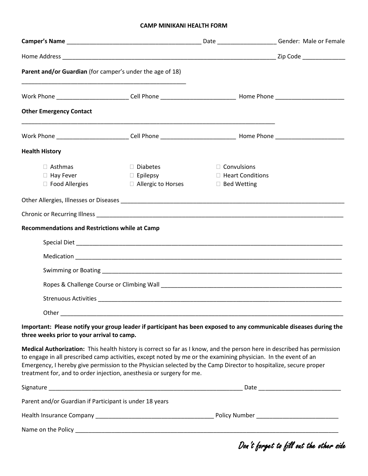## **CAMP MINIKANI HEALTH FORM**

|                                                             |                                                                                                                                                                                                                                                                                                                                                                                                                                       | Date ________________________Gender: Male or Female            |                         |
|-------------------------------------------------------------|---------------------------------------------------------------------------------------------------------------------------------------------------------------------------------------------------------------------------------------------------------------------------------------------------------------------------------------------------------------------------------------------------------------------------------------|----------------------------------------------------------------|-------------------------|
|                                                             |                                                                                                                                                                                                                                                                                                                                                                                                                                       |                                                                | Zip Code ______________ |
| Parent and/or Guardian (for camper's under the age of 18)   |                                                                                                                                                                                                                                                                                                                                                                                                                                       |                                                                |                         |
|                                                             |                                                                                                                                                                                                                                                                                                                                                                                                                                       |                                                                |                         |
| <b>Other Emergency Contact</b>                              | <u> 1989 - Johann Stoff, deutscher Stoff, der Stoff, der Stoff, der Stoff, der Stoff, der Stoff, der Stoff, der S</u>                                                                                                                                                                                                                                                                                                                 |                                                                |                         |
|                                                             |                                                                                                                                                                                                                                                                                                                                                                                                                                       |                                                                |                         |
| <b>Health History</b>                                       |                                                                                                                                                                                                                                                                                                                                                                                                                                       |                                                                |                         |
| $\Box$ Asthmas<br>$\Box$ Hay Fever<br>$\Box$ Food Allergies | □ Diabetes<br>$\Box$ Epilepsy<br>$\Box$ Allergic to Horses                                                                                                                                                                                                                                                                                                                                                                            | $\Box$ Convulsions<br>□ Heart Conditions<br>$\Box$ Bed Wetting |                         |
|                                                             |                                                                                                                                                                                                                                                                                                                                                                                                                                       |                                                                |                         |
|                                                             |                                                                                                                                                                                                                                                                                                                                                                                                                                       |                                                                |                         |
| <b>Recommendations and Restrictions while at Camp</b>       |                                                                                                                                                                                                                                                                                                                                                                                                                                       |                                                                |                         |
|                                                             |                                                                                                                                                                                                                                                                                                                                                                                                                                       |                                                                |                         |
|                                                             |                                                                                                                                                                                                                                                                                                                                                                                                                                       |                                                                |                         |
|                                                             |                                                                                                                                                                                                                                                                                                                                                                                                                                       |                                                                |                         |
|                                                             |                                                                                                                                                                                                                                                                                                                                                                                                                                       |                                                                |                         |
|                                                             |                                                                                                                                                                                                                                                                                                                                                                                                                                       |                                                                |                         |
| Other                                                       |                                                                                                                                                                                                                                                                                                                                                                                                                                       |                                                                |                         |
| three weeks prior to your arrival to camp.                  | Important: Please notify your group leader if participant has been exposed to any communicable diseases during the                                                                                                                                                                                                                                                                                                                    |                                                                |                         |
|                                                             | Medical Authorization: This health history is correct so far as I know, and the person here in described has permission<br>to engage in all prescribed camp activities, except noted by me or the examining physician. In the event of an<br>Emergency, I hereby give permission to the Physician selected by the Camp Director to hospitalize, secure proper<br>treatment for, and to order injection, anesthesia or surgery for me. |                                                                |                         |
|                                                             |                                                                                                                                                                                                                                                                                                                                                                                                                                       |                                                                |                         |
| Parent and/or Guardian if Participant is under 18 years     |                                                                                                                                                                                                                                                                                                                                                                                                                                       |                                                                |                         |
|                                                             |                                                                                                                                                                                                                                                                                                                                                                                                                                       |                                                                |                         |
|                                                             |                                                                                                                                                                                                                                                                                                                                                                                                                                       |                                                                |                         |

Don't forget to fill out the other side